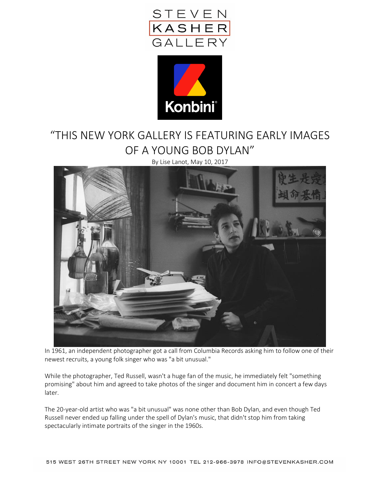



## "THIS NEW YORK GALLERY IS FEATURING EARLY IMAGES OF A YOUNG BOB DYLAN"

By Lise Lanot, May 10, 2017



In 1961, an independent photographer got a call from Columbia Records asking him to follow one of their newest recruits, a young folk singer who was "a bit unusual."

While the photographer, Ted Russell, wasn't a huge fan of the music, he immediately felt "something promising" about him and agreed to take photos of the singer and document him in concert a few days later.

The 20-year-old artist who was "a bit unusual" was none other than Bob Dylan, and even though Ted Russell never ended up falling under the spell of Dylan's music, that didn't stop him from taking spectacularly intimate portraits of the singer in the 1960s.